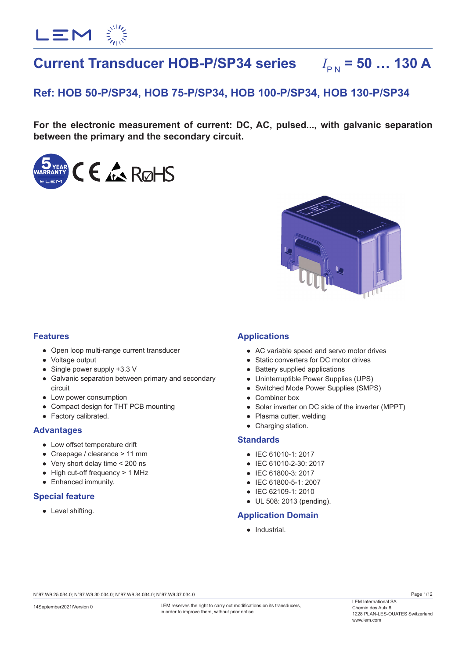

# **Current Transducer HOB-P/SP34 series**  $I_{\text{BM}} = 50$  ... 130 A

# **Ref: HOB 50-P/SP34, HOB 75-P/SP34, HOB 100-P/SP34, HOB 130-P/SP34**

**For the electronic measurement of current: DC, AC, pulsed..., with galvanic separation between the primary and the secondary circuit.**





## **Features**

- Open loop multi-range current transducer
- Voltage output
- Single power supply +3.3 V
- Galvanic separation between primary and secondary circuit
- Low power consumption
- Compact design for THT PCB mounting
- Factory calibrated.

## **Advantages**

- Low offset temperature drift
- Creepage / clearance > 11 mm
- Very short delay time < 200 ns
- High cut-off frequency > 1 MHz
- Enhanced immunity.

## **Special feature**

● Level shifting.

## **Applications**

- AC variable speed and servo motor drives
- Static converters for DC motor drives
- Battery supplied applications
- Uninterruptible Power Supplies (UPS)
- Switched Mode Power Supplies (SMPS)
- Combiner box
- Solar inverter on DC side of the inverter (MPPT)
- Plasma cutter, welding
- Charging station.

## **Standards**

- IEC 61010-1: 2017
- IEC 61010-2-30: 2017
- IEC 61800-3: 2017
- IEC 61800-5-1: 2007
- IEC 62109-1: 2010
- UL 508: 2013 (pending).

## **Application Domain**

● Industrial.

N°97.W9.25.034.0; N°97.W9.30.034.0; N°97.W9.34.034.0; N°97.W9.37.034.0

LEM reserves the right to carry out modifications on its transducers. in order to improve them, without prior notice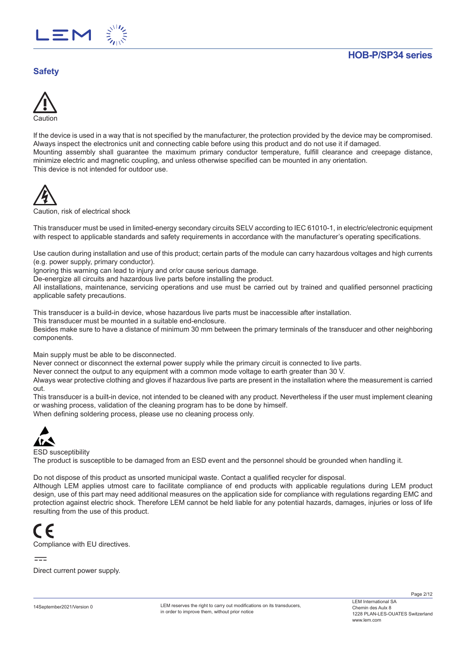

# **Safety**



If the device is used in a way that is not specified by the manufacturer, the protection provided by the device may be compromised. Always inspect the electronics unit and connecting cable before using this product and do not use it if damaged. Mounting assembly shall guarantee the maximum primary conductor temperature, fulfill clearance and creepage distance, minimize electric and magnetic coupling, and unless otherwise specified can be mounted in any orientation. This device is not intended for outdoor use.



Caution, risk of electrical shock

This transducer must be used in limited-energy secondary circuits SELV according to IEC 61010-1, in electric/electronic equipment with respect to applicable standards and safety requirements in accordance with the manufacturer's operating specifications.

Use caution during installation and use of this product; certain parts of the module can carry hazardous voltages and high currents (e.g. power supply, primary conductor).

Ignoring this warning can lead to injury and or/or cause serious damage.

De-energize all circuits and hazardous live parts before installing the product.

All installations, maintenance, servicing operations and use must be carried out by trained and qualified personnel practicing applicable safety precautions.

This transducer is a build-in device, whose hazardous live parts must be inaccessible after installation.

This transducer must be mounted in a suitable end-enclosure.

Besides make sure to have a distance of minimum 30 mm between the primary terminals of the transducer and other neighboring components.

Main supply must be able to be disconnected.

Never connect or disconnect the external power supply while the primary circuit is connected to live parts.

Never connect the output to any equipment with a common mode voltage to earth greater than 30 V.

Always wear protective clothing and gloves if hazardous live parts are present in the installation where the measurement is carried out.

This transducer is a built-in device, not intended to be cleaned with any product. Nevertheless if the user must implement cleaning or washing process, validation of the cleaning program has to be done by himself.

When defining soldering process, please use no cleaning process only.



ESD susceptibility

The product is susceptible to be damaged from an ESD event and the personnel should be grounded when handling it.

Do not dispose of this product as unsorted municipal waste. Contact a qualified recycler for disposal.

Although LEM applies utmost care to facilitate compliance of end products with applicable regulations during LEM product design, use of this part may need additional measures on the application side for compliance with regulations regarding EMC and protection against electric shock. Therefore LEM cannot be held liable for any potential hazards, damages, injuries or loss of life resulting from the use of this product.



Compliance with EU directives.

 $=$ 

Direct current power supply.

LEM reserves the right to carry out modifications on its transducers. in order to improve them, without prior notice

Page 2/12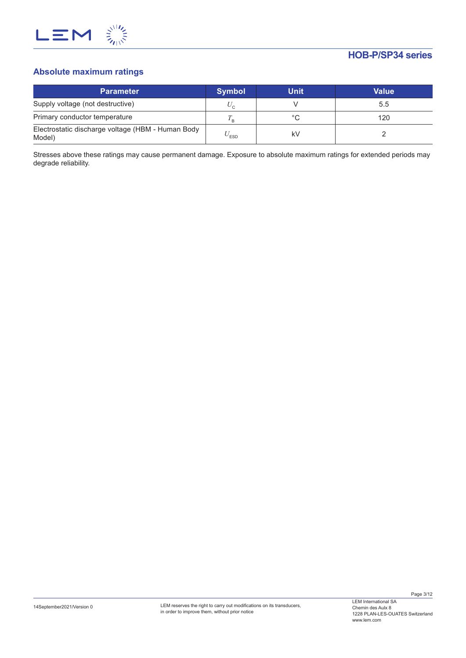

# **Absolute maximum ratings**

| <b>Parameter</b>                                            | <b>Symbol</b>             | <b>Unit</b> | Value |
|-------------------------------------------------------------|---------------------------|-------------|-------|
| Supply voltage (not destructive)                            | $U_{\alpha}$              |             | 5.5   |
| Primary conductor temperature                               |                           | °C          | 120   |
| Electrostatic discharge voltage (HBM - Human Body<br>Model) | $\mathrm{v}_\textrm{ESD}$ | k٧          |       |

Stresses above these ratings may cause permanent damage. Exposure to absolute maximum ratings for extended periods may degrade reliability.

Page 3/12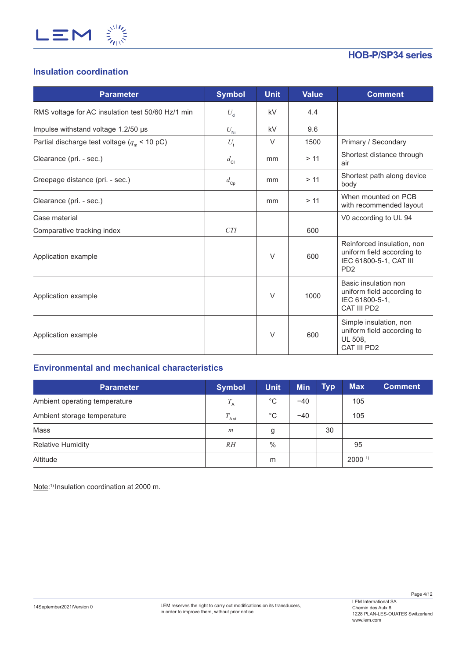

# **Insulation coordination**

| <b>Parameter</b>                                      | <b>Symbol</b>   | <b>Unit</b> | <b>Value</b> | <b>Comment</b>                                                                                                    |
|-------------------------------------------------------|-----------------|-------------|--------------|-------------------------------------------------------------------------------------------------------------------|
| RMS voltage for AC insulation test 50/60 Hz/1 min     | $U_{\rm d}$     | kV          | 4.4          |                                                                                                                   |
| Impulse withstand voltage 1.2/50 µs                   | $U_{\rm Ni}$    | kV          | 9.6          |                                                                                                                   |
| Partial discharge test voltage ( $q_{\rm m}$ < 10 pC) | $U_{\rm t}$     | $\vee$      | 1500         | Primary / Secondary                                                                                               |
| Clearance (pri. - sec.)                               | $d_{\rm Cl}$    | mm          | > 11         | Shortest distance through<br>air                                                                                  |
| Creepage distance (pri. - sec.)                       | $d_{\text{cp}}$ | mm          | > 11         | Shortest path along device<br>body                                                                                |
| Clearance (pri. - sec.)                               |                 | mm          | > 11         | When mounted on PCB<br>with recommended layout                                                                    |
| Case material                                         |                 |             |              | V0 according to UL 94                                                                                             |
| Comparative tracking index                            | <b>CTI</b>      |             | 600          |                                                                                                                   |
| Application example                                   |                 | $\vee$      | 600          | Reinforced insulation, non<br>uniform field according to<br>IEC 61800-5-1, CAT III<br>P <sub>D</sub> <sub>2</sub> |
| Application example                                   |                 | $\vee$      | 1000         | Basic insulation non<br>uniform field according to<br>IEC 61800-5-1,<br>CAT III PD2                               |
| Application example                                   |                 | $\vee$      | 600          | Simple insulation, non<br>uniform field according to<br>UL 508,<br>CAT III PD2                                    |

# **Environmental and mechanical characteristics**

| <b>Parameter</b>              | <b>Symbol</b>   | <b>Unit</b>   | <b>Min</b> | <b>Typ</b> | <b>Max</b>           | <b>Comment</b> |
|-------------------------------|-----------------|---------------|------------|------------|----------------------|----------------|
| Ambient operating temperature | $T_{\rm A}$     | $^{\circ}$ C  | $-40$      |            | 105                  |                |
| Ambient storage temperature   | $T_{\rm A\,st}$ | $^{\circ}$ C  | $-40$      |            | 105                  |                |
| Mass                          | m               | g             |            | 30         |                      |                |
| <b>Relative Humidity</b>      | RH              | $\frac{0}{0}$ |            |            | 95                   |                |
| Altitude                      |                 | m             |            |            | $2000$ <sup>1)</sup> |                |

Note: 1) Insulation coordination at 2000 m.

Page 4/12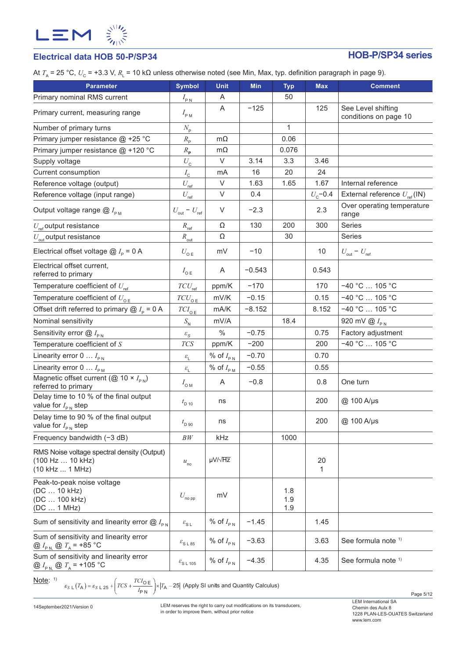

# **Electrical data HOB 50-P/SP34 HOB-P/SP34 series**

At *T*<sub>A</sub> = 25 °C, *U*<sub>C</sub> = +3.3 V, *R*<sub>L</sub> = 10 kΩ unless otherwise noted (see Min, Max, typ. definition paragraph in page 9).

| $  ,  \alpha$<br><b>Parameter</b>                                                      | <b>Symbol</b>                       | <b>Unit</b>           | <b>Min</b> |                   | <b>Max</b>   | <b>Comment</b>                      |
|----------------------------------------------------------------------------------------|-------------------------------------|-----------------------|------------|-------------------|--------------|-------------------------------------|
|                                                                                        |                                     |                       |            | <b>Typ</b><br>50  |              |                                     |
| Primary nominal RMS current                                                            | $I_{\rm PN}$                        | Α<br>Α                | $-125$     |                   | 125          | See Level shifting                  |
| Primary current, measuring range                                                       | $I_{\rm PM}$                        |                       |            |                   |              | conditions on page 10               |
| Number of primary turns                                                                | $N_{\rm p}$                         |                       |            | 1                 |              |                                     |
| Primary jumper resistance @ +25 °C                                                     | $R_{\rm p}$                         | $m\Omega$             |            | 0.06              |              |                                     |
| Primary jumper resistance @ +120 °C                                                    | $R_{\rm p}$                         | $m\Omega$             |            | 0.076             |              |                                     |
| Supply voltage                                                                         | $U_{\rm C}$                         | $\vee$                | 3.14       | 3.3               | 3.46         |                                     |
| Current consumption                                                                    | $I_{\rm c}$                         | mA                    | 16         | 20                | 24           |                                     |
| Reference voltage (output)                                                             | $U_{\rm ref}$                       | $\vee$                | 1.63       | 1.65              | 1.67         | Internal reference                  |
| Reference voltage (input range)                                                        | $U_{\rm ref}$                       | V                     | 0.4        |                   | $U_{c}$ -0.4 | External reference $U_{ref}$ (IN)   |
| Output voltage range $@I_{\rho_M}$                                                     | $U_{\text{out}}$ – $U_{\text{ref}}$ | $\vee$                | $-2.3$     |                   | 2.3          | Over operating temperature<br>range |
| $U_{\text{ref}}$ output resistance                                                     | $R_{\text{ref}}$                    | Ω                     | 130        | 200               | 300          | Series                              |
| $U_{\text{out}}$ output resistance                                                     | $R_{\text{out}}$                    | Ω                     |            | 30                |              | Series                              |
| Electrical offset voltage $\omega I_{\rm p}$ = 0 A                                     | $U_{\mathsf{o}\mathsf{E}}$          | mV                    | $-10$      |                   | 10           | $U_{\text{out}} - U_{\text{ref}}$   |
| Electrical offset current,<br>referred to primary                                      | $I_{\circ E}$                       | A                     | $-0.543$   |                   | 0.543        |                                     |
| Temperature coefficient of $U_{\text{ref}}$                                            | $TCU_{\rm ref}$                     | ppm/K                 | $-170$     |                   | 170          | $-40 °C$ 105 °C                     |
| Temperature coefficient of $U_{\text{OE}}$                                             | $TCU_{\texttt{OE}}$                 | mV/K                  | $-0.15$    |                   | 0.15         | $-40 °C$ 105 °C                     |
| Offset drift referred to primary $@I_{p} = 0 A$                                        | ${\cal T}Cl_{\rm O\,E}$             | mA/K                  | $-8.152$   |                   | 8.152        | $-40 °C$ 105 °C                     |
| Nominal sensitivity                                                                    | $S_{\rm N}$                         | mV/A                  |            | 18.4              |              | 920 mV $\omega$ $I_{\text{PN}}$     |
| Sensitivity error $@I_{\rho_N}$                                                        | $\varepsilon_{\rm S}$               | $\%$                  | $-0.75$    |                   | 0.75         | Factory adjustment                  |
| Temperature coefficient of $S$                                                         | $T\!C\!S$                           | ppm/K                 | $-200$     |                   | 200          | $-40 °C$ 105 °C                     |
| Linearity error 0 $I_{\text{PN}}$                                                      | $\mathcal{E}_{\mathrm{L}}$          | % of $I_{\text{PN}}$  | $-0.70$    |                   | 0.70         |                                     |
| Linearity error $0 \ldots I_{\text{PM}}$                                               | $\mathcal{E}_{\mathrm{L}}$          | % of $I_{\text{P M}}$ | $-0.55$    |                   | 0.55         |                                     |
| Magnetic offset current (@ 10 $\times$ $I_{PN}$ )<br>referred to primary               | $I_{\text{OM}}$                     | A                     | $-0.8$     |                   | 0.8          | One turn                            |
| Delay time to 10 % of the final output<br>value for $I_{\text{PN}}$ step               | $t_{\rm D 10}$                      | ns                    |            |                   | 200          | @ 100 A/µs                          |
| Delay time to 90 % of the final output<br>value for $I_{\text{PN}}$ step               | $t_{\rm D,90}$                      | ns                    |            |                   | 200          | @ 100 A/µs                          |
| Frequency bandwidth $(-3 dB)$                                                          | BW                                  | kHz                   |            | 1000              |              |                                     |
| RMS Noise voltage spectral density (Output)<br>(100 Hz  10 kHz)<br>(10 kHz  1 MHz)     | $u_{\rm no}$                        | $\mu V / \sqrt{Hz}$   |            |                   | 20<br>1      |                                     |
| Peak-to-peak noise voltage<br>(DC  10 kHz)<br>(DC  100 kHz)<br>(DC  1 MHz)             | $U_{\rm no\, pp}$                   | mV                    |            | 1.8<br>1.9<br>1.9 |              |                                     |
| Sum of sensitivity and linearity error $@I_{\text{PN}}$                                | $\varepsilon_{\text{S L}}$          | % of $I_{PN}$         | $-1.45$    |                   | 1.45         |                                     |
| Sum of sensitivity and linearity error<br>@ $I_{P N}$ @ $T_A$ = +85 °C                 | $\varepsilon_{\rm S\,L\,85}$        | % of $I_{\text{PN}}$  | $-3.63$    |                   | 3.63         | See formula note 1)                 |
| Sum of sensitivity and linearity error<br>@ $I_{\text{PN}}$ @ $T_{\text{A}}$ = +105 °C | $\varepsilon$ <sub>SL 105</sub>     | % of $I_{\text{PN}}$  | $-4.35$    |                   | 4.35         | See formula note 1)                 |

Note: 1)

 $S \text{ } L\left(T_{\mathsf{A}}\right) = \varepsilon_{S\text{ }L\text{ }25} + \left(TCS + \frac{TCI_{\mathsf{O}}}{I_{\mathsf{P}}\text{ }N}\right) \times \left|T_{\mathsf{A}} - 25\right|$  (Apply SI units and Quantity Calculus)

14September2021/Version 0

LEM reserves the right to carry out modifications on its transducers, in order to improve them, without prior notice

LEM International SA Chemin des Aulx 8 1228 PLAN-LES-OUATES Switzerland www.lem.com

Page 5/12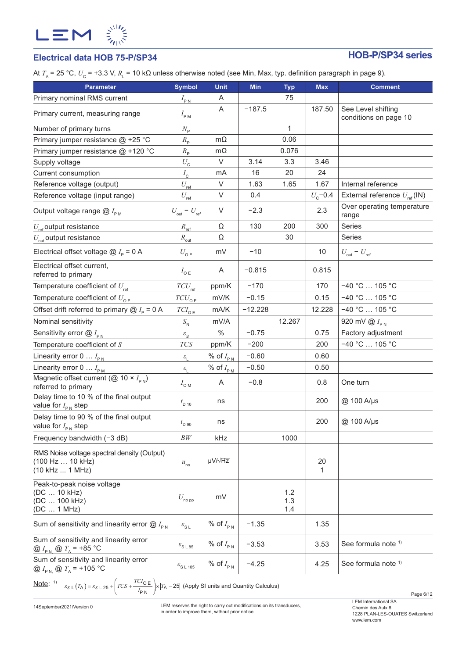

# **Electrical data HOB 75-P/SP34 HOB-P/SP34 series**

At *T*<sub>A</sub> = 25 °C,  $U_{\rm C}$  = +3.3 V,  $R_{\rm L}$  = 10 kΩ unless otherwise noted (see Min, Max, typ. definition paragraph in page 9).

| <b>Parameter</b>                                                                       | <b>Symbol</b>                       | <b>Unit</b>          | <b>Min</b> | <b>Typ</b>        | <b>Max</b>   | <b>Comment</b>                                 |
|----------------------------------------------------------------------------------------|-------------------------------------|----------------------|------------|-------------------|--------------|------------------------------------------------|
| Primary nominal RMS current                                                            | $I_{\text{PN}}$                     | A                    |            | 75                |              |                                                |
| Primary current, measuring range                                                       | $I_{\rm PM}$                        | A                    | $-187.5$   |                   | 187.50       | See Level shifting<br>conditions on page 10    |
| Number of primary turns                                                                | $N_{\rm p}$                         |                      |            | $\mathbf{1}$      |              |                                                |
| Primary jumper resistance @ +25 °C                                                     | $R_{\rm p}$                         | $m\Omega$            |            | 0.06              |              |                                                |
| Primary jumper resistance @ +120 °C                                                    | $R_{\rm p}$                         | $m\Omega$            |            | 0.076             |              |                                                |
| Supply voltage                                                                         | $U_{\tt C}$                         | V                    | 3.14       | 3.3               | 3.46         |                                                |
| Current consumption                                                                    | $I_{\rm c}$                         | mA                   | 16         | 20                | 24           |                                                |
| Reference voltage (output)                                                             | $U_{\rm ref}$                       | $\vee$               | 1.63       | 1.65              | 1.67         | Internal reference                             |
| Reference voltage (input range)                                                        | $U_{\rm ref}$                       | V                    | 0.4        |                   | $U_{c}$ -0.4 | External reference $U_{\text{ref}}(\text{IN})$ |
| Output voltage range $@I_{\rho_M}$                                                     | $U_{\text{out}}$ – $U_{\text{ref}}$ | $\vee$               | $-2.3$     |                   | 2.3          | Over operating temperature<br>range            |
| $U_{\text{ref}}$ output resistance                                                     | $R_{\text{ref}}$                    | Ω                    | 130        | 200               | 300          | Series                                         |
| $U_{\text{out}}$ output resistance                                                     | $R_{\text{out}}$                    | Ω                    |            | 30                |              | Series                                         |
| Electrical offset voltage $@I_{\rho} = 0 A$                                            | $U_{\mathsf{o}\mathsf{E}}$          | mV                   | $-10$      |                   | 10           | $U_{\text{out}} - U_{\text{ref}}$              |
| Electrical offset current,<br>referred to primary                                      | $I_{\circ E}$                       | Α                    | $-0.815$   |                   | 0.815        |                                                |
| Temperature coefficient of $U_{\text{ref}}$                                            | $TCU_{\rm ref}$                     | ppm/K                | $-170$     |                   | 170          | $-40 °C$ 105 °C                                |
| Temperature coefficient of $U_{\text{oE}}$                                             | $TCU_{\underline{0}\underline{E}}$  | mV/K                 | $-0.15$    |                   | 0.15         | $-40 °C$ 105 °C                                |
| Offset drift referred to primary $@I_{p} = 0 A$                                        | $TCI_{\underline{\mathsf{OE}}}$     | mA/K                 | $-12.228$  |                   | 12.228       | $-40 °C$ 105 °C                                |
| Nominal sensitivity                                                                    | $S_{\rm N}$                         | mV/A                 |            | 12.267            |              | 920 mV $\bigotimes I_{\text{PN}}$              |
| Sensitivity error $@I_{\text{PN}}$                                                     | $\varepsilon_{\rm S}$               | $\%$                 | $-0.75$    |                   | 0.75         | Factory adjustment                             |
| Temperature coefficient of $S$                                                         | $TCS$                               | ppm/K                | $-200$     |                   | 200          | $-40 °C$ 105 °C                                |
| Linearity error 0 $I_{\text{PN}}$                                                      | $\varepsilon_{\rm L}$               | % of $I_{\text{PN}}$ | $-0.60$    |                   | 0.60         |                                                |
| Linearity error $0 \ldots I_{\text{PM}}$                                               | $\varepsilon_{\rm _L}$              | % of $I_{P_M}$       | $-0.50$    |                   | 0.50         |                                                |
| Magnetic offset current (@ 10 $\times$ $I_{PN}$ )<br>referred to primary               | $I_{\text{OM}}$                     | Α                    | $-0.8$     |                   | 0.8          | One turn                                       |
| Delay time to 10 % of the final output<br>value for $I_{\text{PN}}$ step               | $t_{\rm D10}$                       | ns                   |            |                   | 200          | @ 100 A/µs                                     |
| Delay time to 90 % of the final output<br>value for $I_{\text{PN}}$ step               | $t_{\rm D,90}$                      | ns                   |            |                   | 200          | @ 100 A/µs                                     |
| Frequency bandwidth $(-3 dB)$                                                          | BW                                  | kHz                  |            | 1000              |              |                                                |
| RMS Noise voltage spectral density (Output)<br>(100 Hz  10 kHz)<br>(10 kHz  1 MHz)     | $u_{\rm no}$                        | $\mu V / \sqrt{Hz}$  |            |                   | 20<br>1      |                                                |
| Peak-to-peak noise voltage<br>(DC  10 kHz)<br>(DC  100 kHz)<br>(DC  1 MHz)             | $U_{\rm no\, pp}$                   | mV                   |            | 1.2<br>1.3<br>1.4 |              |                                                |
| Sum of sensitivity and linearity error $@I_{\rho N}$                                   | $\varepsilon_{\text{S L}}$          | % of $I_{PN}$        | $-1.35$    |                   | 1.35         |                                                |
| Sum of sensitivity and linearity error<br>@ $I_{PN}$ @ $T_A$ = +85 °C                  | $\varepsilon$ <sub>SL85</sub>       | % of $I_{PN}$        | $-3.53$    |                   | 3.53         | See formula note 1)                            |
| Sum of sensitivity and linearity error<br>@ $I_{\text{PN}}$ @ $T_{\text{A}}$ = +105 °C | $\varepsilon_{\rm S\ L\ 105}$       | % of $I_{PN}$        | $-4.25$    |                   | 4.25         | See formula note 1)                            |
|                                                                                        |                                     |                      |            |                   |              |                                                |

<u>Note</u>: <sup>1)</sup>  $\varepsilon_{S \text{ L}}(T_{\text{A}}) = \varepsilon_{S \text{ L}} 25 + \left( TCS + \frac{TCI_{\text{O E}}}{I_{\text{P N}}}\right) \times |T_{\text{A}} - 25|$  (Apply SI units and Quantity Calculus)

14September2021/Version 0

LEM reserves the right to carry out modifications on its transducers, in order to improve them, without prior notice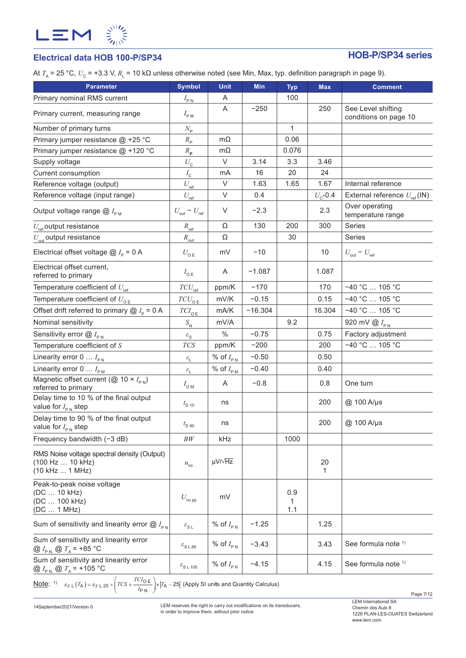

# **Electrical data HOB 100-P/SP34 HOB-P/SP34 series**

At *T*<sub>A</sub> = 25 °C,  $U_{\rm C}$  = +3.3 V,  $R_{\rm L}$  = 10 kΩ unless otherwise noted (see Min, Max, typ. definition paragraph in page 9).

| <b>Parameter</b>                                                                       | <b>Symbol</b>                     | <b>Unit</b>                           | <b>Min</b> | <b>Typ</b>      | <b>Max</b>       | <b>Comment</b>                                 |
|----------------------------------------------------------------------------------------|-----------------------------------|---------------------------------------|------------|-----------------|------------------|------------------------------------------------|
| Primary nominal RMS current                                                            | $I_{\rm PN}$                      | A                                     |            | 100             |                  |                                                |
| Primary current, measuring range                                                       | $I_{\rm PM}$                      | A                                     | $-250$     |                 | 250              | See Level shifting<br>conditions on page 10    |
| Number of primary turns                                                                | $N_{\rm p}$                       |                                       |            | $\mathbf{1}$    |                  |                                                |
| Primary jumper resistance @ +25 °C                                                     | $R_{\rm p}$                       | $m\Omega$                             |            | 0.06            |                  |                                                |
| Primary jumper resistance @ +120 °C                                                    | $R_{\rm p}$                       | $m\Omega$                             |            | 0.076           |                  |                                                |
| Supply voltage                                                                         | $U_{\rm C}$                       | $\vee$                                | 3.14       | 3.3             | 3.46             |                                                |
| Current consumption                                                                    | $I_{\rm\scriptscriptstyle C}$     | mA                                    | 16         | 20              | 24               |                                                |
| Reference voltage (output)                                                             | $U_{\rm ref}$                     | $\vee$                                | 1.63       | 1.65            | 1.67             | Internal reference                             |
| Reference voltage (input range)                                                        | $U_{\text{ref}}$                  | V                                     | 0.4        |                 | $U_{\rm c}$ -0.4 | External reference $U_{\text{ref}}(\text{IN})$ |
| Output voltage range $@I_{\rho_M}$                                                     | $U_{\text{out}} - U_{\text{ref}}$ | $\vee$                                | $-2.3$     |                 | 2.3              | Over operating<br>temperature range            |
| $U_{\text{ref}}$ output resistance                                                     | $R_{\text{ref}}$                  | Ω                                     | 130        | 200             | 300              | Series                                         |
| $U_{\text{out}}$ output resistance                                                     | $R_{\text{out}}$                  | Ω                                     |            | 30              |                  | Series                                         |
| Electrical offset voltage $\omega I_{\rm p}$ = 0 A                                     | $U_{\text{o E}}$                  | mV                                    | $-10$      |                 | 10               | $U_{\text{out}} - U_{\text{ref}}$              |
| Electrical offset current,<br>referred to primary                                      | $I_{\circ E}$                     | A                                     | $-1.087$   |                 | 1.087            |                                                |
| Temperature coefficient of $U_{\text{ref}}$                                            | $TCU_{\text{ref}}$                | ppm/K                                 | $-170$     |                 | 170              | $-40 °C$ 105 °C                                |
| Temperature coefficient of $U_{\text{OE}}$                                             | $TCU_{\text{oE}}$                 | mV/K                                  | $-0.15$    |                 | 0.15             | $-40 °C$ 105 °C                                |
| Offset drift referred to primary $@I_{p} = 0 A$                                        | ${\cal T}Cl_{\rm O\,E}$           | mA/K                                  | $-16.304$  |                 | 16.304           | $-40 °C$ 105 °C                                |
| Nominal sensitivity                                                                    | $S_{\rm N}$                       | mV/A                                  |            | 9.2             |                  | 920 mV $\bigotimes I_{\text{PN}}$              |
| Sensitivity error $@I_{\rho_N}$                                                        | $\varepsilon_{\rm S}$             | $\%$                                  | $-0.75$    |                 | 0.75             | Factory adjustment                             |
| Temperature coefficient of $S$                                                         | $T\!C\!S$                         | ppm/K                                 | $-200$     |                 | 200              | $-40 °C$ 105 °C                                |
| Linearity error 0 $I_{\text{PN}}$                                                      | $\mathcal{E}_{\mathsf{L}}$        | % of $I_{PN}$                         | $-0.50$    |                 | 0.50             |                                                |
| Linearity error $0 \ldots I_{\text{PM}}$                                               | $\varepsilon_{\rm L}$             | % of $I_{\scriptscriptstyle\rm P\,M}$ | $-0.40$    |                 | 0.40             |                                                |
| Magnetic offset current ( $\overline{Q}$ 10 × $I_{\text{PN}}$ )<br>referred to primary | $I_{\text{OM}}$                   | A                                     | $-0.8$     |                 | 0.8              | One turn                                       |
| Delay time to 10 % of the final output<br>value for $I_{\text{PN}}$ step               | $t_{\rm D 10}$                    | ns                                    |            |                 | 200              | @ 100 A/µs                                     |
| Delay time to 90 % of the final output<br>value for $I_{PN}$ step                      | $t_{\text{D 90}}$                 | ns                                    |            |                 | 200              | @ 100 A/µs                                     |
| Frequency bandwidth $(-3 dB)$                                                          | BW                                | kHz                                   |            | 1000            |                  |                                                |
| RMS Noise voltage spectral density (Output)<br>(100 Hz  10 kHz)<br>(10 kHz  1 MHz)     | $u_{\rm no}$                      | $\mu V / \sqrt{Hz}$                   |            |                 | 20<br>1          |                                                |
| Peak-to-peak noise voltage<br>(DC  10 kHz)<br>(DC  100 kHz)<br>(DC  1 MHz)             | $U_{\text{no pp}}$                | mV                                    |            | 0.9<br>1<br>1.1 |                  |                                                |
| Sum of sensitivity and linearity error $@I_{\text{PN}}$                                | $\varepsilon_{\text{S L}}$        | % of $I_{PN}$                         | $-1.25$    |                 | 1.25             |                                                |
| Sum of sensitivity and linearity error<br>@ $I_{\text{PN}}$ @ $T_{\text{A}}$ = +85 °C  | $\varepsilon_{\text{S L 85}}$     | % of $I_{PN}$                         | $-3.43$    |                 | 3.43             | See formula note 1)                            |
| Sum of sensitivity and linearity error<br>@ $I_{\text{PN}}$ @ $T_{\text{A}}$ = +105 °C | $\varepsilon_{\text{S L 105}}$    | % of $I_{PN}$                         | $-4.15$    |                 | 4.15             | See formula note 1)                            |
| $TCI_{\Omega} =$                                                                       |                                   |                                       |            |                 |                  |                                                |

<u>Note</u>: 1)  $\varepsilon_{S \text{ L}}(T_A) = \varepsilon_{S \text{ L}} 25 + \left( TCS + \frac{TCI_{\text{O E}}}{I_{\text{P N}}}\right) \times |T_A - 25|$  (Apply SI units and Quantity Calculus)

14September2021/Version 0

LEM reserves the right to carry out modifications on its transducers, in order to improve them, without prior notice

Page 7/12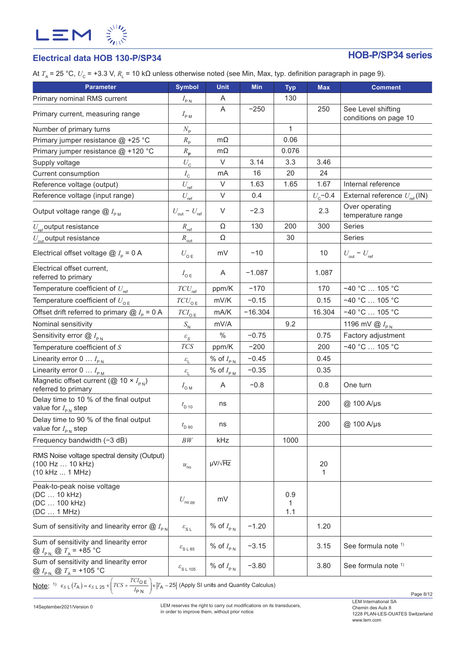

# **Electrical data HOB 130-P/SP34 HOB-P/SP34 series**

At *T*<sub>A</sub> = 25 °C,  $U_c$  = +3.3 V,  $R_1$  = 10 kΩ unless otherwise noted (see Min, Max, typ. definition paragraph in page 9).

| <b>Parameter</b>                                                                       | <b>Symbol</b>                          | Unit                | Min       | <b>Typ</b>      | <b>Max</b>       | <b>Comment</b>                                 |
|----------------------------------------------------------------------------------------|----------------------------------------|---------------------|-----------|-----------------|------------------|------------------------------------------------|
| Primary nominal RMS current                                                            | $I_{\text{PN}}$                        | Α                   |           | 130             |                  |                                                |
| Primary current, measuring range                                                       | $I_{\rm PM}$                           | A                   | $-250$    |                 | 250              | See Level shifting<br>conditions on page 10    |
| Number of primary turns                                                                | $N_{\rm p}$                            |                     |           | $\mathbf{1}$    |                  |                                                |
| Primary jumper resistance @ +25 °C                                                     | $R_{\rm p}$                            | $m\Omega$           |           | 0.06            |                  |                                                |
| Primary jumper resistance @ +120 °C                                                    | $R_{\rm p}$                            | $m\Omega$           |           | 0.076           |                  |                                                |
| Supply voltage                                                                         | $U_{\rm C}$                            | V                   | 3.14      | 3.3             | 3.46             |                                                |
| Current consumption                                                                    | $I_{\rm c}$                            | mA                  | 16        | 20              | 24               |                                                |
| Reference voltage (output)                                                             | $U_{\rm ref}$                          | V                   | 1.63      | 1.65            | 1.67             | Internal reference                             |
| Reference voltage (input range)                                                        | $U_{\text{ref}}$                       | V                   | 0.4       |                 | $U_{\rm c}$ -0.4 | External reference $U_{\text{ref}}(\text{IN})$ |
| Output voltage range $@I_{\rho_M}$                                                     | $U_{\text{out}}$ – $U_{\text{ref}}$    | V                   | $-2.3$    |                 | 2.3              | Over operating<br>temperature range            |
| $U_{\text{ref}}$ output resistance                                                     | $R_{\text{ref}}$                       | Ω                   | 130       | 200             | 300              | Series                                         |
| $U_{\text{out}}$ output resistance                                                     | $R_{\text{out}}$                       | Ω                   |           | 30              |                  | Series                                         |
| Electrical offset voltage $@I_{p} = 0 A$                                               | $U_{\text{o E}}$                       | mV                  | $-10$     |                 | 10               | $U_{\text{out}} - U_{\text{ref}}$              |
| Electrical offset current,<br>referred to primary                                      | $I_{\text{oE}}$                        | A                   | $-1.087$  |                 | 1.087            |                                                |
| Temperature coefficient of $U_{\text{ref}}$                                            | $TCU_{\text{ref}}$                     | ppm/K               | $-170$    |                 | 170              | $-40 °C$ 105 °C                                |
| Temperature coefficient of $U_{\alpha E}$                                              | $TCU_{\texttt{OE}}$                    | mV/K                | $-0.15$   |                 | 0.15             | $-40 °C$ 105 °C                                |
| Offset drift referred to primary $\omega I_{\rm p}$ = 0 A                              | $TCI_{0E}$                             | mA/K                | $-16.304$ |                 | 16.304           | $-40 °C$ 105 °C                                |
| Nominal sensitivity                                                                    | $S_{\rm N}$                            | mV/A                |           | 9.2             |                  | 1196 mV $\omega$ $I_{\text{PN}}$               |
| Sensitivity error $@I_{\rho_N}$                                                        | $\varepsilon_{\rm S}$                  | $\%$                | $-0.75$   |                 | 0.75             | Factory adjustment                             |
| Temperature coefficient of $S$                                                         | $T\!C\!S$                              | ppm/K               | $-200$    |                 | 200              | $-40 °C$ 105 °C                                |
| Linearity error $0 \ldots I_{PN}$                                                      | $\mathcal{E}_{\underline{\mathsf{L}}}$ | % of $I_{PN}$       | $-0.45$   |                 | 0.45             |                                                |
| Linearity error $0 \ldots I_{\text{PM}}$                                               | $\mathcal{E}_{\mathrm{L}}$             | % of $I_{P_M}$      | $-0.35$   |                 | 0.35             |                                                |
| Magnetic offset current ( $\overline{Q}$ 10 × $I_{\text{pN}}$ )<br>referred to primary | $I_{\text{OM}}$                        | Α                   | $-0.8$    |                 | 0.8              | One turn                                       |
| Delay time to 10 % of the final output<br>value for $I_{\text{PN}}$ step               | $t_{\rm D 10}$                         | ns                  |           |                 | 200              | @ 100 A/µs                                     |
| Delay time to 90 % of the final output<br>value for $I_{\text{PN}}$ step               | $t_{\rm D,90}$                         | ns                  |           |                 | 200              | @ 100 A/µs                                     |
| Frequency bandwidth (-3 dB)                                                            | BW                                     | kHz                 |           | 1000            |                  |                                                |
| RMS Noise voltage spectral density (Output)<br>(100 Hz  10 kHz)<br>(10 kHz  1 MHz)     | $u_{\rm no}$                           | $\mu V / \sqrt{Hz}$ |           |                 | 20<br>1          |                                                |
| Peak-to-peak noise voltage<br>(DC  10 kHz)<br>(DC  100 kHz)<br>(DC  1 MHz)             | $U_{\sf no\, pp}$                      | mV                  |           | 0.9<br>1<br>1.1 |                  |                                                |
| Sum of sensitivity and linearity error $@I_{\text{PN}}$                                | $\varepsilon_{\text{S L}}$             | % of $I_{\rm PN}$   | $-1.20$   |                 | 1.20             |                                                |
| Sum of sensitivity and linearity error<br>@ $I_{P N}$ @ $T_A$ = +85 °C                 | $\varepsilon_{\rm S\; L\; 85}$         | % of $I_{PN}$       | $-3.15$   |                 | 3.15             | See formula note 1)                            |
| Sum of sensitivity and linearity error<br>@ $I_{PN}$ @ $T_A$ = +105 °C                 | $\varepsilon$ <sub>SL 105</sub>        | % of $I_{PN}$       | $-3.80$   |                 | 3.80             | See formula note 1)                            |

<u>Note</u>: <sup>1)</sup>  $\varepsilon_{S \text{ L}}(T_A) = \varepsilon_{S \text{ L}} 25 + \left( TCS + \frac{TCI_{\text{O}} E}{I_{\text{P}} N} \right) \times |T_A - 25|$  (Apply SI units and Quantity Calculus)

14September2021/Version 0

LEM reserves the right to carry out modifications on its transducers, in order to improve them, without prior notice

Page 8/12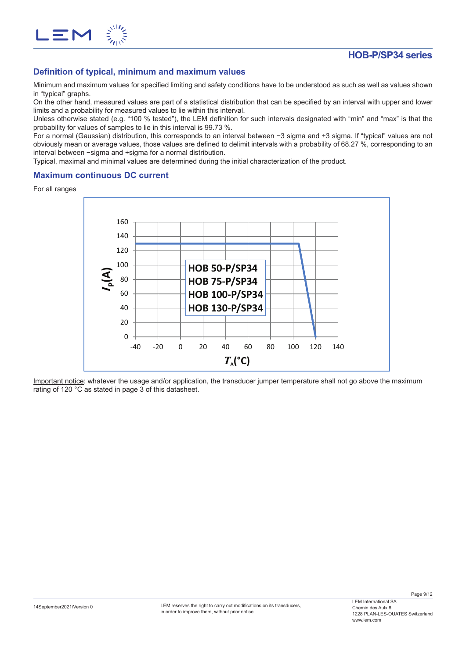

## **Definition of typical, minimum and maximum values**

Minimum and maximum values for specified limiting and safety conditions have to be understood as such as well as values shown in "typical" graphs.

On the other hand, measured values are part of a statistical distribution that can be specified by an interval with upper and lower limits and a probability for measured values to lie within this interval.

Unless otherwise stated (e.g. "100 % tested"), the LEM definition for such intervals designated with "min" and "max" is that the probability for values of samples to lie in this interval is 99.73 %.

For a normal (Gaussian) distribution, this corresponds to an interval between −3 sigma and +3 sigma. If "typical" values are not obviously mean or average values, those values are defined to delimit intervals with a probability of 68.27 %, corresponding to an interval between −sigma and +sigma for a normal distribution.

Typical, maximal and minimal values are determined during the initial characterization of the product.

## **Maximum continuous DC current**

For all ranges



Important notice: whatever the usage and/or application, the transducer jumper temperature shall not go above the maximum rating of 120 °C as stated in page 3 of this datasheet.

Page 9/12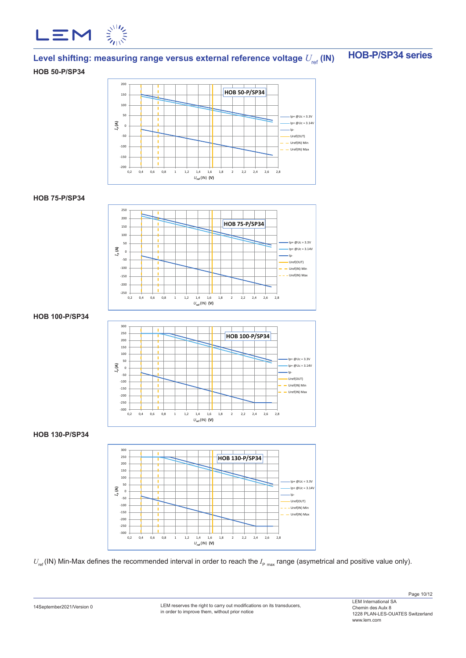

# Level shifting: measuring range versus external reference voltage  $U_{\text{ref}}$  (IN)  $\blacksquare$  HOB-P/SP34 series

### **HOB 50-P/SP34**



### **HOB 75-P/SP34**



## **HOB 100-P/SP34**



## **HOB 130-P/SP34**



 $U_{\sf ref}$ (IN) Min-Max defines the recommended interval in order to reach the  $I_{\sf p\ max}$  range (asymetrical and positive value only).

LEM reserves the right to carry out modifications on its transducers, in order to improve them, without prior notice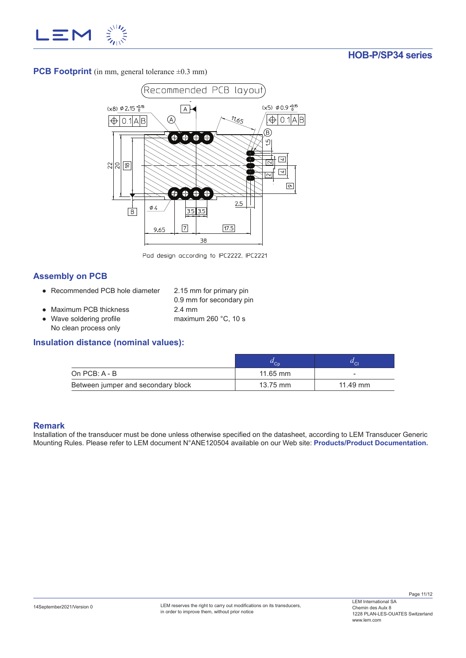

**PCB Footprint** (in mm, general tolerance  $\pm 0.3$  mm)



Pad design according to IPC2222, IPC2221

## **Assembly on PCB**

- Recommended PCB hole diameter 2.15 mm for primary pin
	- 0.9 mm for secondary pin
- Maximum PCB thickness 2.4 mm
- Wave soldering profile maximum 260 °C, 10 s No clean process only

## **Insulation distance (nominal values):**

| On $PCB: A - B$                    | $11.65$ mm | $\overline{\phantom{a}}$ |
|------------------------------------|------------|--------------------------|
| Between jumper and secondary block | 13.75 mm   | 11.49 mm                 |

## **Remark**

Installation of the transducer must be done unless otherwise specified on the datasheet, according to LEM Transducer Generic Mounting Rules. Please refer to LEM document N°ANE120504 available on our Web site: **Products/Product Documentation.**